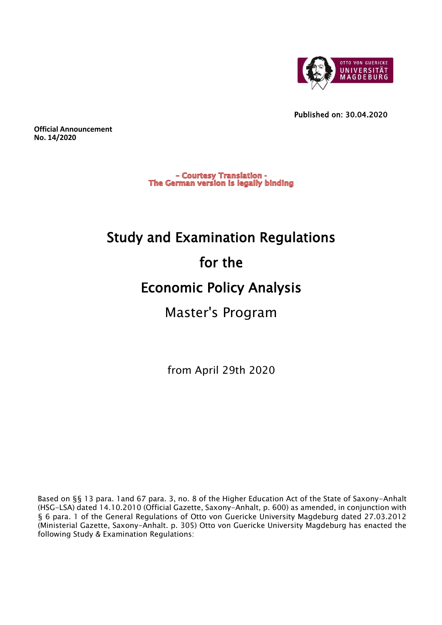

Published on: 30.04.2020

**Official Announcement No. 14/2020**

> - Courtesy Translation -The German version is legally binding

# Study and Examination Regulations for the Economic Policy Analysis Master's Program

from April 29th 2020

Based on §§ 13 para. 1and 67 para. 3, no. 8 of the Higher Education Act of the State of Saxony-Anhalt (HSG-LSA) dated 14.10.2010 (Official Gazette, Saxony-Anhalt, p. 600) as amended, in conjunction with § 6 para. 1 of the General Regulations of Otto von Guericke University Magdeburg dated 27.03.2012 (Ministerial Gazette, Saxony-Anhalt. p. 305) Otto von Guericke University Magdeburg has enacted the following Study & Examination Regulations: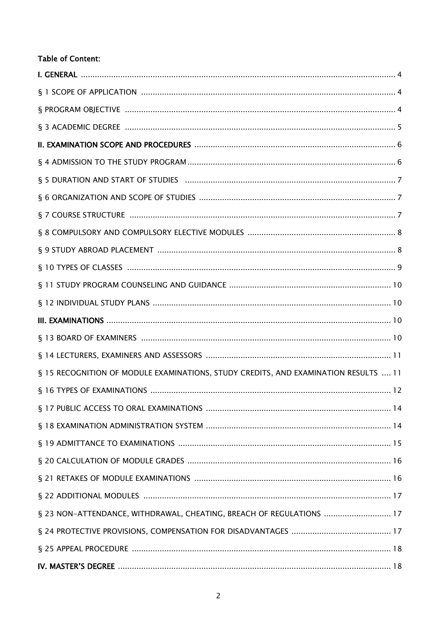# **Table of Content:**

| § 15 RECOGNITION OF MODULE EXAMINATIONS, STUDY CREDITS, AND EXAMINATION RESULTS  11 |
|-------------------------------------------------------------------------------------|
|                                                                                     |
|                                                                                     |
|                                                                                     |
|                                                                                     |
|                                                                                     |
|                                                                                     |
|                                                                                     |
| § 23 NON-ATTENDANCE, WITHDRAWAL, CHEATING, BREACH OF REGULATIONS  17                |
|                                                                                     |
|                                                                                     |
|                                                                                     |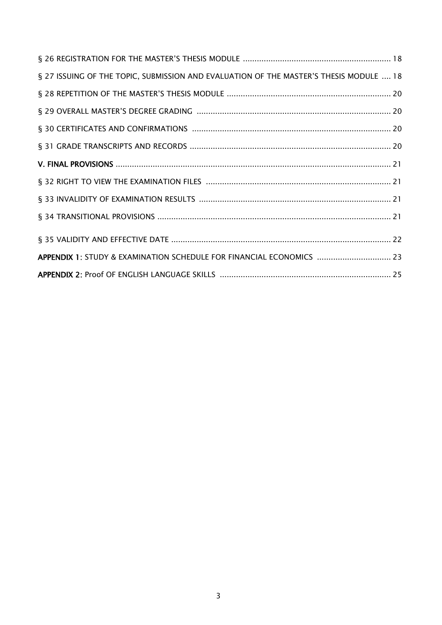| § 27 ISSUING OF THE TOPIC, SUBMISSION AND EVALUATION OF THE MASTER'S THESIS MODULE  18 |
|----------------------------------------------------------------------------------------|
|                                                                                        |
|                                                                                        |
|                                                                                        |
|                                                                                        |
|                                                                                        |
|                                                                                        |
|                                                                                        |
|                                                                                        |
|                                                                                        |
| APPENDIX 1: STUDY & EXAMINATION SCHEDULE FOR FINANCIAL ECONOMICS  23                   |
|                                                                                        |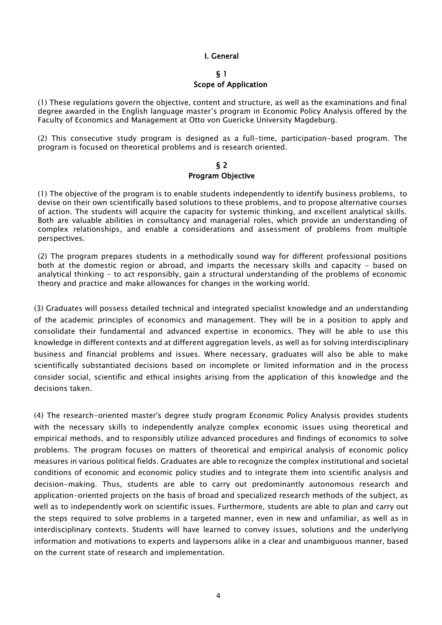## I. General

#### § 1

## Scope of Application

(1) These regulations govern the objective, content and structure, as well as the examinations and final degree awarded in the English language master's program in Economic Policy Analysis offered by the Faculty of Economics and Management at Otto von Guericke University Magdeburg.

(2) This consecutive study program is designed as a full-time, participation-based program. The program is focused on theoretical problems and is research oriented.

#### § 2 Program Objective

(1) The objective of the program is to enable students independently to identify business problems, to devise on their own scientifically based solutions to these problems, and to propose alternative courses of action. The students will acquire the capacity for systemic thinking, and excellent analytical skills. Both are valuable abilities in consultancy and managerial roles, which provide an understanding of complex relationships, and enable a considerations and assessment of problems from multiple perspectives.

(2) The program prepares students in a methodically sound way for different professional positions both at the domestic region or abroad, and imparts the necessary skills and capacity - based on analytical thinking - to act responsibly, gain a structural understanding of the problems of economic theory and practice and make allowances for changes in the working world.

(3) Graduates will possess detailed technical and integrated specialist knowledge and an understanding of the academic principles of economics and management. They will be in a position to apply and consolidate their fundamental and advanced expertise in economics. They will be able to use this knowledge in different contexts and at different aggregation levels, as well as for solving interdisciplinary business and financial problems and issues. Where necessary, graduates will also be able to make scientifically substantiated decisions based on incomplete or limited information and in the process consider social, scientific and ethical insights arising from the application of this knowledge and the decisions taken.

(4) The research-oriented master's degree study program Economic Policy Analysis provides students with the necessary skills to independently analyze complex economic issues using theoretical and empirical methods, and to responsibly utilize advanced procedures and findings of economics to solve problems. The program focuses on matters of theoretical and empirical analysis of economic policy measures in various political fields. Graduates are able to recognize the complex institutional and societal conditions of economic and economic policy studies and to integrate them into scientific analysis and decision-making. Thus, students are able to carry out predominantly autonomous research and application-oriented projects on the basis of broad and specialized research methods of the subject, as well as to independently work on scientific issues. Furthermore, students are able to plan and carry out the steps required to solve problems in a targeted manner, even in new and unfamiliar, as well as in interdisciplinary contexts. Students will have learned to convey issues, solutions and the underlying information and motivations to experts and laypersons alike in a clear and unambiguous manner, based on the current state of research and implementation.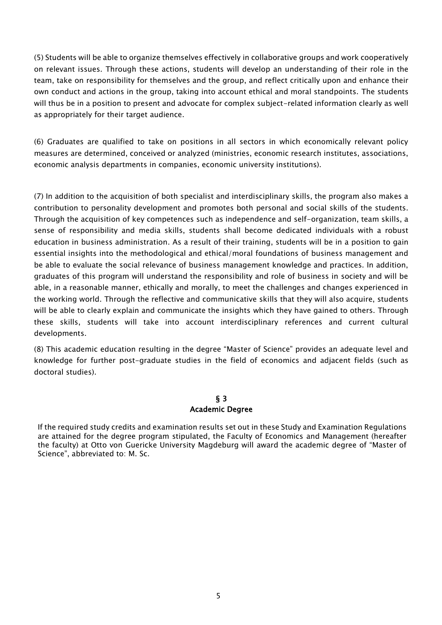(5) Students will be able to organize themselves effectively in collaborative groups and work cooperatively on relevant issues. Through these actions, students will develop an understanding of their role in the team, take on responsibility for themselves and the group, and reflect critically upon and enhance their own conduct and actions in the group, taking into account ethical and moral standpoints. The students will thus be in a position to present and advocate for complex subject-related information clearly as well as appropriately for their target audience.

(6) Graduates are qualified to take on positions in all sectors in which economically relevant policy measures are determined, conceived or analyzed (ministries, economic research institutes, associations, economic analysis departments in companies, economic university institutions).

(7) In addition to the acquisition of both specialist and interdisciplinary skills, the program also makes a contribution to personality development and promotes both personal and social skills of the students. Through the acquisition of key competences such as independence and self-organization, team skills, a sense of responsibility and media skills, students shall become dedicated individuals with a robust education in business administration. As a result of their training, students will be in a position to gain essential insights into the methodological and ethical/moral foundations of business management and be able to evaluate the social relevance of business management knowledge and practices. In addition, graduates of this program will understand the responsibility and role of business in society and will be able, in a reasonable manner, ethically and morally, to meet the challenges and changes experienced in the working world. Through the reflective and communicative skills that they will also acquire, students will be able to clearly explain and communicate the insights which they have gained to others. Through these skills, students will take into account interdisciplinary references and current cultural developments.

(8) This academic education resulting in the degree "Master of Science" provides an adequate level and knowledge for further post-graduate studies in the field of economics and adjacent fields (such as doctoral studies).

## § 3 Academic Degree

If the required study credits and examination results set out in these Study and Examination Regulations are attained for the degree program stipulated, the Faculty of Economics and Management (hereafter the faculty) at Otto von Guericke University Magdeburg will award the academic degree of "Master of Science", abbreviated to: M. Sc.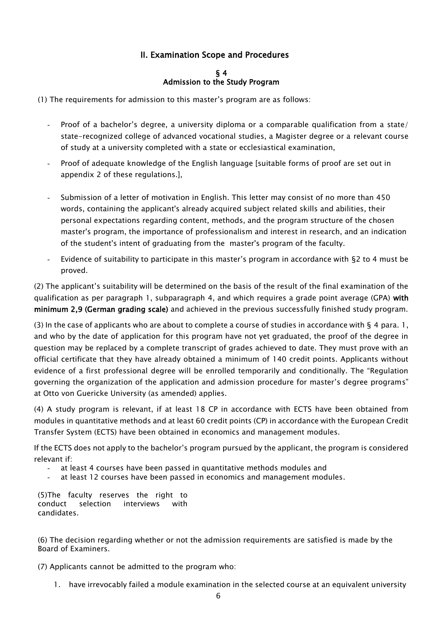# II. Examination Scope and Procedures

## § 4 Admission to the Study Program

(1) The requirements for admission to this master's program are as follows:

- Proof of a bachelor's degree, a university diploma or a comparable qualification from a state/ state-recognized college of advanced vocational studies, a Magister degree or a relevant course of study at a university completed with a state or ecclesiastical examination,
- Proof of adequate knowledge of the English language [suitable forms of proof are set out in appendix 2 of these regulations.],
- Submission of a letter of motivation in English. This letter may consist of no more than 450 words, containing the applicant's already acquired subject related skills and abilities, their personal expectations regarding content, methods, and the program structure of the chosen master's program, the importance of professionalism and interest in research, and an indication of the student's intent of graduating from the master's program of the faculty.
- Evidence of suitability to participate in this master's program in accordance with §2 to 4 must be proved.

(2) The applicant's suitability will be determined on the basis of the result of the final examination of the qualification as per paragraph 1, subparagraph 4, and which requires a grade point average (GPA) with minimum 2,9 (German grading scale) and achieved in the previous successfully finished study program.

(3) In the case of applicants who are about to complete a course of studies in accordance with  $\S$  4 para. 1, and who by the date of application for this program have not yet graduated, the proof of the degree in question may be replaced by a complete transcript of grades achieved to date. They must prove with an official certificate that they have already obtained a minimum of 140 credit points. Applicants without evidence of a first professional degree will be enrolled temporarily and conditionally. The "Regulation governing the organization of the application and admission procedure for master's degree programs" at Otto von Guericke University (as amended) applies.

(4) A study program is relevant, if at least 18 CP in accordance with ECTS have been obtained from modules in quantitative methods and at least 60 credit points (CP) in accordance with the European Credit Transfer System (ECTS) have been obtained in economics and management modules.

If the ECTS does not apply to the bachelor's program pursued by the applicant, the program is considered relevant if:

- at least 4 courses have been passed in quantitative methods modules and
- at least 12 courses have been passed in economics and management modules.

(5)The faculty reserves the right to conduct selection interviews with candidates.

(6) The decision regarding whether or not the admission requirements are satisfied is made by the Board of Examiners.

(7) Applicants cannot be admitted to the program who:

1. have irrevocably failed a module examination in the selected course at an equivalent university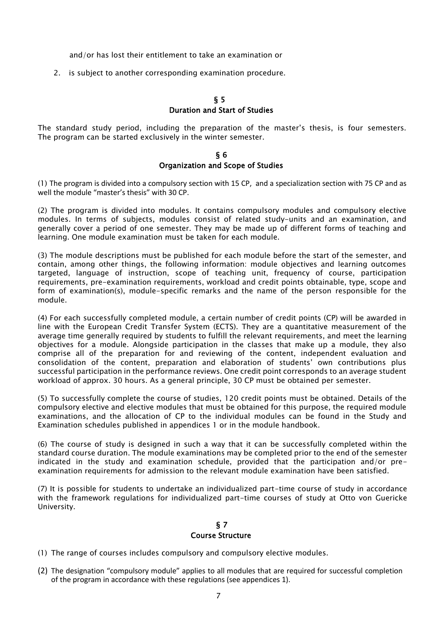and/or has lost their entitlement to take an examination or

2. is subject to another corresponding examination procedure.

## § 5 Duration and Start of Studies

The standard study period, including the preparation of the master's thesis, is four semesters. The program can be started exclusively in the winter semester.

## § 6 Organization and Scope of Studies

(1) The program is divided into a compulsory section with 15 CP, and a specialization section with 75 CP and as well the module "master's thesis" with 30 CP.

(2) The program is divided into modules. It contains compulsory modules and compulsory elective modules. In terms of subjects, modules consist of related study-units and an examination, and generally cover a period of one semester. They may be made up of different forms of teaching and learning. One module examination must be taken for each module.

(3) The module descriptions must be published for each module before the start of the semester, and contain, among other things, the following information: module objectives and learning outcomes targeted, language of instruction, scope of teaching unit, frequency of course, participation requirements, pre-examination requirements, workload and credit points obtainable, type, scope and form of examination(s), module-specific remarks and the name of the person responsible for the module.

(4) For each successfully completed module, a certain number of credit points (CP) will be awarded in line with the European Credit Transfer System (ECTS). They are a quantitative measurement of the average time generally required by students to fulfill the relevant requirements, and meet the learning objectives for a module. Alongside participation in the classes that make up a module, they also comprise all of the preparation for and reviewing of the content, independent evaluation and consolidation of the content, preparation and elaboration of students' own contributions plus successful participation in the performance reviews. One credit point corresponds to an average student workload of approx. 30 hours. As a general principle, 30 CP must be obtained per semester.

(5) To successfully complete the course of studies, 120 credit points must be obtained. Details of the compulsory elective and elective modules that must be obtained for this purpose, the required module examinations, and the allocation of CP to the individual modules can be found in the Study and Examination schedules published in appendices 1 or in the module handbook.

(6) The course of study is designed in such a way that it can be successfully completed within the standard course duration. The module examinations may be completed prior to the end of the semester indicated in the study and examination schedule, provided that the participation and/or preexamination requirements for admission to the relevant module examination have been satisfied.

(7) It is possible for students to undertake an individualized part-time course of study in accordance with the framework regulations for individualized part-time courses of study at Otto von Guericke University.

## § 7 Course Structure

- (1) The range of courses includes compulsory and compulsory elective modules.
- (2) The designation "compulsory module" applies to all modules that are required for successful completion of the program in accordance with these regulations (see appendices 1).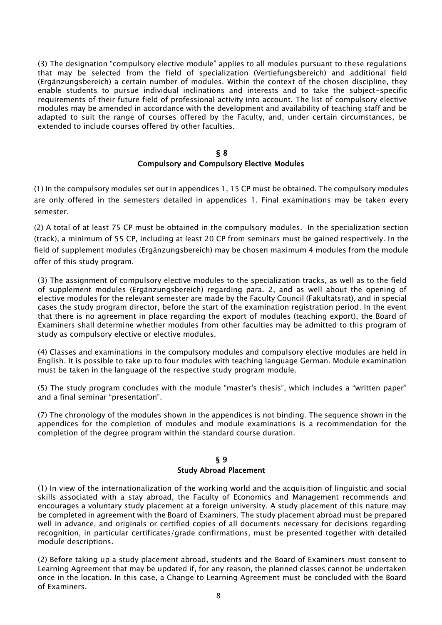(3) The designation "compulsory elective module" applies to all modules pursuant to these regulations that may be selected from the field of specialization (Vertiefungsbereich) and additional field (Ergänzungsbereich) a certain number of modules. Within the context of the chosen discipline, they enable students to pursue individual inclinations and interests and to take the subject-specific requirements of their future field of professional activity into account. The list of compulsory elective modules may be amended in accordance with the development and availability of teaching staff and be adapted to suit the range of courses offered by the Faculty, and, under certain circumstances, be extended to include courses offered by other faculties.

#### § 8

#### Compulsory and Compulsory Elective Modules

(1) In the compulsory modules set out in appendices 1, 15 CP must be obtained. The compulsory modules are only offered in the semesters detailed in appendices 1. Final examinations may be taken every semester.

(2) A total of at least 75 CP must be obtained in the compulsory modules. In the specialization section (track), a minimum of 55 CP, including at least 20 CP from seminars must be gained respectively. In the field of supplement modules (Ergänzungsbereich) may be chosen maximum 4 modules from the module offer of this study program.

(3) The assignment of compulsory elective modules to the specialization tracks, as well as to the field of supplement modules (Ergänzungsbereich) regarding para. 2, and as well about the opening of elective modules for the relevant semester are made by the Faculty Council (Fakultätsrat), and in special cases the study program director, before the start of the examination registration period. In the event that there is no agreement in place regarding the export of modules (teaching export), the Board of Examiners shall determine whether modules from other faculties may be admitted to this program of study as compulsory elective or elective modules.

(4) Classes and examinations in the compulsory modules and compulsory elective modules are held in English. It is possible to take up to four modules with teaching language German. Module examination must be taken in the language of the respective study program module.

(5) The study program concludes with the module "master's thesis", which includes a "written paper" and a final seminar "presentation".

(7) The chronology of the modules shown in the appendices is not binding. The sequence shown in the appendices for the completion of modules and module examinations is a recommendation for the completion of the degree program within the standard course duration.

#### § 9 Study Abroad Placement

(1) In view of the internationalization of the working world and the acquisition of linguistic and social skills associated with a stay abroad, the Faculty of Economics and Management recommends and encourages a voluntary study placement at a foreign university. A study placement of this nature may be completed in agreement with the Board of Examiners. The study placement abroad must be prepared well in advance, and originals or certified copies of all documents necessary for decisions regarding recognition, in particular certificates/grade confirmations, must be presented together with detailed module descriptions.

(2) Before taking up a study placement abroad, students and the Board of Examiners must consent to Learning Agreement that may be updated if, for any reason, the planned classes cannot be undertaken once in the location. In this case, a Change to Learning Agreement must be concluded with the Board of Examiners.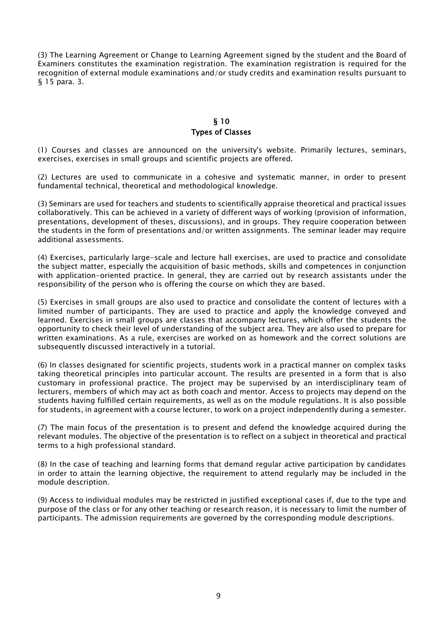(3) The Learning Agreement or Change to Learning Agreement signed by the student and the Board of Examiners constitutes the examination registration. The examination registration is required for the recognition of external module examinations and/or study credits and examination results pursuant to § 15 para. 3.

## § 10 Types of Classes

(1) Courses and classes are announced on the university's website. Primarily lectures, seminars, exercises, exercises in small groups and scientific projects are offered.

(2) Lectures are used to communicate in a cohesive and systematic manner, in order to present fundamental technical, theoretical and methodological knowledge.

(3) Seminars are used for teachers and students to scientifically appraise theoretical and practical issues collaboratively. This can be achieved in a variety of different ways of working (provision of information, presentations, development of theses, discussions), and in groups. They require cooperation between the students in the form of presentations and/or written assignments. The seminar leader may require additional assessments.

(4) Exercises, particularly large-scale and lecture hall exercises, are used to practice and consolidate the subject matter, especially the acquisition of basic methods, skills and competences in conjunction with application-oriented practice. In general, they are carried out by research assistants under the responsibility of the person who is offering the course on which they are based.

(5) Exercises in small groups are also used to practice and consolidate the content of lectures with a limited number of participants. They are used to practice and apply the knowledge conveyed and learned. Exercises in small groups are classes that accompany lectures, which offer the students the opportunity to check their level of understanding of the subject area. They are also used to prepare for written examinations. As a rule, exercises are worked on as homework and the correct solutions are subsequently discussed interactively in a tutorial.

(6) In classes designated for scientific projects, students work in a practical manner on complex tasks taking theoretical principles into particular account. The results are presented in a form that is also customary in professional practice. The project may be supervised by an interdisciplinary team of lecturers, members of which may act as both coach and mentor. Access to projects may depend on the students having fulfilled certain requirements, as well as on the module regulations. It is also possible for students, in agreement with a course lecturer, to work on a project independently during a semester.

(7) The main focus of the presentation is to present and defend the knowledge acquired during the relevant modules. The objective of the presentation is to reflect on a subject in theoretical and practical terms to a high professional standard.

(8) In the case of teaching and learning forms that demand regular active participation by candidates in order to attain the learning objective, the requirement to attend regularly may be included in the module description.

(9) Access to individual modules may be restricted in justified exceptional cases if, due to the type and purpose of the class or for any other teaching or research reason, it is necessary to limit the number of participants. The admission requirements are governed by the corresponding module descriptions.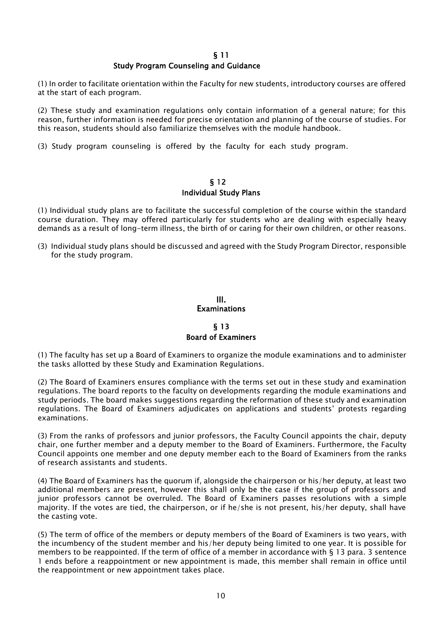## § 11

#### Study Program Counseling and Guidance

(1) In order to facilitate orientation within the Faculty for new students, introductory courses are offered at the start of each program.

(2) These study and examination regulations only contain information of a general nature; for this reason, further information is needed for precise orientation and planning of the course of studies. For this reason, students should also familiarize themselves with the module handbook.

(3) Study program counseling is offered by the faculty for each study program.

#### § 12 Individual Study Plans

(1) Individual study plans are to facilitate the successful completion of the course within the standard course duration. They may offered particularly for students who are dealing with especially heavy demands as a result of long-term illness, the birth of or caring for their own children, or other reasons.

(3) Individual study plans should be discussed and agreed with the Study Program Director, responsible for the study program.

## III. **Examinations**

## § 13 Board of Examiners

(1) The faculty has set up a Board of Examiners to organize the module examinations and to administer the tasks allotted by these Study and Examination Regulations.

(2) The Board of Examiners ensures compliance with the terms set out in these study and examination regulations. The board reports to the faculty on developments regarding the module examinations and study periods. The board makes suggestions regarding the reformation of these study and examination regulations. The Board of Examiners adjudicates on applications and students' protests regarding examinations.

(3) From the ranks of professors and junior professors, the Faculty Council appoints the chair, deputy chair, one further member and a deputy member to the Board of Examiners. Furthermore, the Faculty Council appoints one member and one deputy member each to the Board of Examiners from the ranks of research assistants and students.

(4) The Board of Examiners has the quorum if, alongside the chairperson or his/her deputy, at least two additional members are present, however this shall only be the case if the group of professors and junior professors cannot be overruled. The Board of Examiners passes resolutions with a simple majority. If the votes are tied, the chairperson, or if he/she is not present, his/her deputy, shall have the casting vote.

(5) The term of office of the members or deputy members of the Board of Examiners is two years, with the incumbency of the student member and his/her deputy being limited to one year. It is possible for members to be reappointed. If the term of office of a member in accordance with § 13 para. 3 sentence 1 ends before a reappointment or new appointment is made, this member shall remain in office until the reappointment or new appointment takes place.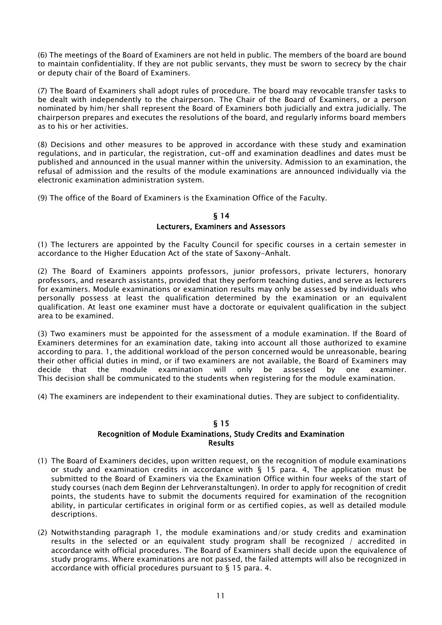(6) The meetings of the Board of Examiners are not held in public. The members of the board are bound to maintain confidentiality. If they are not public servants, they must be sworn to secrecy by the chair or deputy chair of the Board of Examiners.

(7) The Board of Examiners shall adopt rules of procedure. The board may revocable transfer tasks to be dealt with independently to the chairperson. The Chair of the Board of Examiners, or a person nominated by him/her shall represent the Board of Examiners both judicially and extra judicially. The chairperson prepares and executes the resolutions of the board, and regularly informs board members as to his or her activities.

(8) Decisions and other measures to be approved in accordance with these study and examination regulations, and in particular, the registration, cut-off and examination deadlines and dates must be published and announced in the usual manner within the university. Admission to an examination, the refusal of admission and the results of the module examinations are announced individually via the electronic examination administration system.

(9) The office of the Board of Examiners is the Examination Office of the Faculty.

## § 14 Lecturers, Examiners and Assessors

(1) The lecturers are appointed by the Faculty Council for specific courses in a certain semester in accordance to the Higher Education Act of the state of Saxony-Anhalt.

(2) The Board of Examiners appoints professors, junior professors, private lecturers, honorary professors, and research assistants, provided that they perform teaching duties, and serve as lecturers for examiners. Module examinations or examination results may only be assessed by individuals who personally possess at least the qualification determined by the examination or an equivalent qualification. At least one examiner must have a doctorate or equivalent qualification in the subject area to be examined.

(3) Two examiners must be appointed for the assessment of a module examination. If the Board of Examiners determines for an examination date, taking into account all those authorized to examine according to para. 1, the additional workload of the person concerned would be unreasonable, bearing their other official duties in mind, or if two examiners are not available, the Board of Examiners may decide that the module examination will only be assessed by one examiner. This decision shall be communicated to the students when registering for the module examination.

(4) The examiners are independent to their examinational duties. They are subject to confidentiality.

## § 15

#### Recognition of Module Examinations, Study Credits and Examination Results

- (1) The Board of Examiners decides, upon written request, on the recognition of module examinations or study and examination credits in accordance with § 15 para. 4, The application must be submitted to the Board of Examiners via the Examination Office within four weeks of the start of study courses (nach dem Beginn der Lehrveranstaltungen). In order to apply for recognition of credit points, the students have to submit the documents required for examination of the recognition ability, in particular certificates in original form or as certified copies, as well as detailed module descriptions.
- (2) Notwithstanding paragraph 1, the module examinations and/or study credits and examination results in the selected or an equivalent study program shall be recognized / accredited in accordance with official procedures. The Board of Examiners shall decide upon the equivalence of study programs. Where examinations are not passed, the failed attempts will also be recognized in accordance with official procedures pursuant to § 15 para. 4.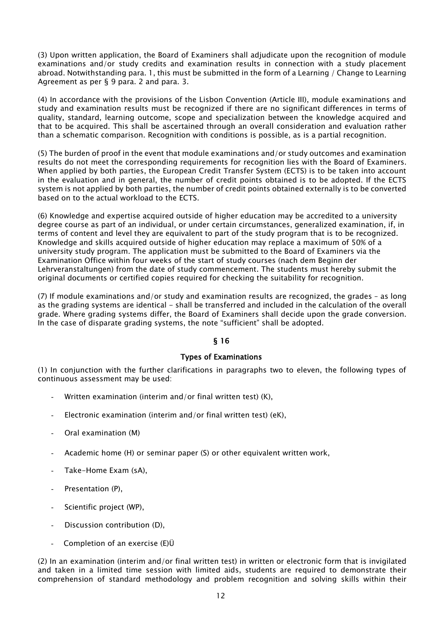(3) Upon written application, the Board of Examiners shall adjudicate upon the recognition of module examinations and/or study credits and examination results in connection with a study placement abroad. Notwithstanding para. 1, this must be submitted in the form of a Learning / Change to Learning Agreement as per § 9 para. 2 and para. 3.

(4) In accordance with the provisions of the Lisbon Convention (Article III), module examinations and study and examination results must be recognized if there are no significant differences in terms of quality, standard, learning outcome, scope and specialization between the knowledge acquired and that to be acquired. This shall be ascertained through an overall consideration and evaluation rather than a schematic comparison. Recognition with conditions is possible, as is a partial recognition.

(5) The burden of proof in the event that module examinations and/or study outcomes and examination results do not meet the corresponding requirements for recognition lies with the Board of Examiners. When applied by both parties, the European Credit Transfer System (ECTS) is to be taken into account in the evaluation and in general, the number of credit points obtained is to be adopted. If the ECTS system is not applied by both parties, the number of credit points obtained externally is to be converted based on to the actual workload to the ECTS.

(6) Knowledge and expertise acquired outside of higher education may be accredited to a university degree course as part of an individual, or under certain circumstances, generalized examination, if, in terms of content and level they are equivalent to part of the study program that is to be recognized. Knowledge and skills acquired outside of higher education may replace a maximum of 50% of a university study program. The application must be submitted to the Board of Examiners via the Examination Office within four weeks of the start of study courses (nach dem Beginn der Lehrveranstaltungen) from the date of study commencement. The students must hereby submit the original documents or certified copies required for checking the suitability for recognition.

(7) If module examinations and/or study and examination results are recognized, the grades – as long as the grading systems are identical - shall be transferred and included in the calculation of the overall grade. Where grading systems differ, the Board of Examiners shall decide upon the grade conversion. In the case of disparate grading systems, the note "sufficient" shall be adopted.

## § 16

## Types of Examinations

(1) In conjunction with the further clarifications in paragraphs two to eleven, the following types of continuous assessment may be used:

- Written examination (interim and/or final written test)  $(K)$ ,
- Electronic examination (interim and/or final written test) (eK),
- Oral examination (M)
- Academic home (H) or seminar paper (S) or other equivalent written work,
- Take-Home Exam (sA),
- Presentation (P),
- Scientific project (WP),
- Discussion contribution (D),
- Completion of an exercise  $(E)$ Ü

(2) In an examination (interim and/or final written test) in written or electronic form that is invigilated and taken in a limited time session with limited aids, students are required to demonstrate their comprehension of standard methodology and problem recognition and solving skills within their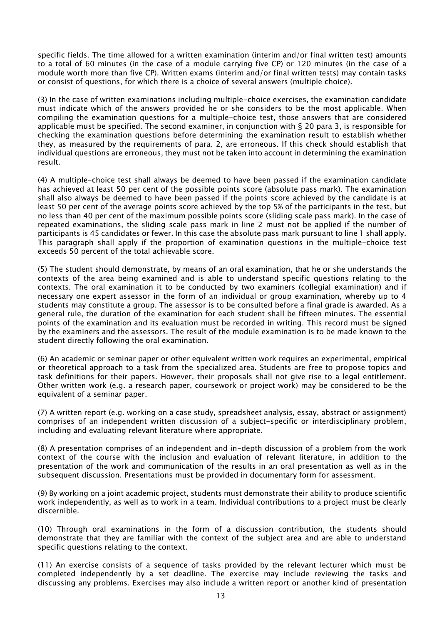specific fields. The time allowed for a written examination (interim and/or final written test) amounts to a total of 60 minutes (in the case of a module carrying five CP) or 120 minutes (in the case of a module worth more than five CP). Written exams (interim and/or final written tests) may contain tasks or consist of questions, for which there is a choice of several answers (multiple choice).

(3) In the case of written examinations including multiple-choice exercises, the examination candidate must indicate which of the answers provided he or she considers to be the most applicable. When compiling the examination questions for a multiple-choice test, those answers that are considered applicable must be specified. The second examiner, in conjunction with § 20 para 3, is responsible for checking the examination questions before determining the examination result to establish whether they, as measured by the requirements of para. 2, are erroneous. If this check should establish that individual questions are erroneous, they must not be taken into account in determining the examination result.

(4) A multiple-choice test shall always be deemed to have been passed if the examination candidate has achieved at least 50 per cent of the possible points score (absolute pass mark). The examination shall also always be deemed to have been passed if the points score achieved by the candidate is at least 50 per cent of the average points score achieved by the top 5% of the participants in the test, but no less than 40 per cent of the maximum possible points score (sliding scale pass mark). In the case of repeated examinations, the sliding scale pass mark in line 2 must not be applied if the number of participants is 45 candidates or fewer. In this case the absolute pass mark pursuant to line 1 shall apply. This paragraph shall apply if the proportion of examination questions in the multiple-choice test exceeds 50 percent of the total achievable score.

(5) The student should demonstrate, by means of an oral examination, that he or she understands the contexts of the area being examined and is able to understand specific questions relating to the contexts. The oral examination it to be conducted by two examiners (collegial examination) and if necessary one expert assessor in the form of an individual or group examination, whereby up to 4 students may constitute a group. The assessor is to be consulted before a final grade is awarded. As a general rule, the duration of the examination for each student shall be fifteen minutes. The essential points of the examination and its evaluation must be recorded in writing. This record must be signed by the examiners and the assessors. The result of the module examination is to be made known to the student directly following the oral examination.

(6) An academic or seminar paper or other equivalent written work requires an experimental, empirical or theoretical approach to a task from the specialized area. Students are free to propose topics and task definitions for their papers. However, their proposals shall not give rise to a legal entitlement. Other written work (e.g. a research paper, coursework or project work) may be considered to be the equivalent of a seminar paper.

(7) A written report (e.g. working on a case study, spreadsheet analysis, essay, abstract or assignment) comprises of an independent written discussion of a subject-specific or interdisciplinary problem, including and evaluating relevant literature where appropriate.

(8) A presentation comprises of an independent and in-depth discussion of a problem from the work context of the course with the inclusion and evaluation of relevant literature, in addition to the presentation of the work and communication of the results in an oral presentation as well as in the subsequent discussion. Presentations must be provided in documentary form for assessment.

(9) By working on a joint academic project, students must demonstrate their ability to produce scientific work independently, as well as to work in a team. Individual contributions to a project must be clearly discernible.

(10) Through oral examinations in the form of a discussion contribution, the students should demonstrate that they are familiar with the context of the subject area and are able to understand specific questions relating to the context.

(11) An exercise consists of a sequence of tasks provided by the relevant lecturer which must be completed independently by a set deadline. The exercise may include reviewing the tasks and discussing any problems. Exercises may also include a written report or another kind of presentation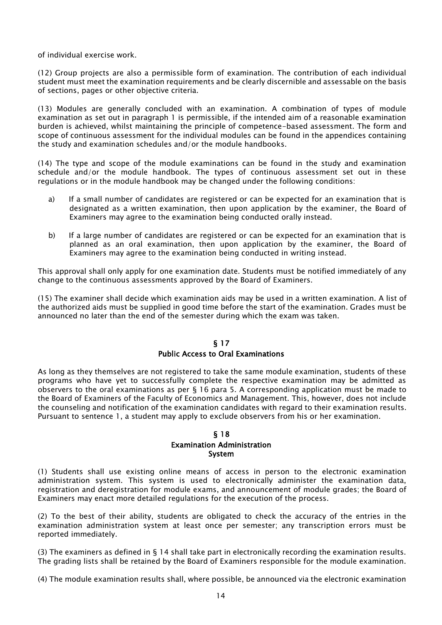of individual exercise work.

(12) Group projects are also a permissible form of examination. The contribution of each individual student must meet the examination requirements and be clearly discernible and assessable on the basis of sections, pages or other objective criteria.

(13) Modules are generally concluded with an examination. A combination of types of module examination as set out in paragraph 1 is permissible, if the intended aim of a reasonable examination burden is achieved, whilst maintaining the principle of competence-based assessment. The form and scope of continuous assessment for the individual modules can be found in the appendices containing the study and examination schedules and/or the module handbooks.

(14) The type and scope of the module examinations can be found in the study and examination schedule and/or the module handbook. The types of continuous assessment set out in these regulations or in the module handbook may be changed under the following conditions:

- a) If a small number of candidates are registered or can be expected for an examination that is designated as a written examination, then upon application by the examiner, the Board of Examiners may agree to the examination being conducted orally instead.
- b) If a large number of candidates are registered or can be expected for an examination that is planned as an oral examination, then upon application by the examiner, the Board of Examiners may agree to the examination being conducted in writing instead.

This approval shall only apply for one examination date. Students must be notified immediately of any change to the continuous assessments approved by the Board of Examiners.

(15) The examiner shall decide which examination aids may be used in a written examination. A list of the authorized aids must be supplied in good time before the start of the examination. Grades must be announced no later than the end of the semester during which the exam was taken.

#### § 17 Public Access to Oral Examinations

As long as they themselves are not registered to take the same module examination, students of these programs who have yet to successfully complete the respective examination may be admitted as observers to the oral examinations as per § 16 para 5. A corresponding application must be made to the Board of Examiners of the Faculty of Economics and Management. This, however, does not include the counseling and notification of the examination candidates with regard to their examination results. Pursuant to sentence 1, a student may apply to exclude observers from his or her examination.

#### § 18

#### Examination Administration System

(1) Students shall use existing online means of access in person to the electronic examination administration system. This system is used to electronically administer the examination data, registration and deregistration for module exams, and announcement of module grades; the Board of Examiners may enact more detailed regulations for the execution of the process.

(2) To the best of their ability, students are obligated to check the accuracy of the entries in the examination administration system at least once per semester; any transcription errors must be reported immediately.

(3) The examiners as defined in § 14 shall take part in electronically recording the examination results. The grading lists shall be retained by the Board of Examiners responsible for the module examination.

(4) The module examination results shall, where possible, be announced via the electronic examination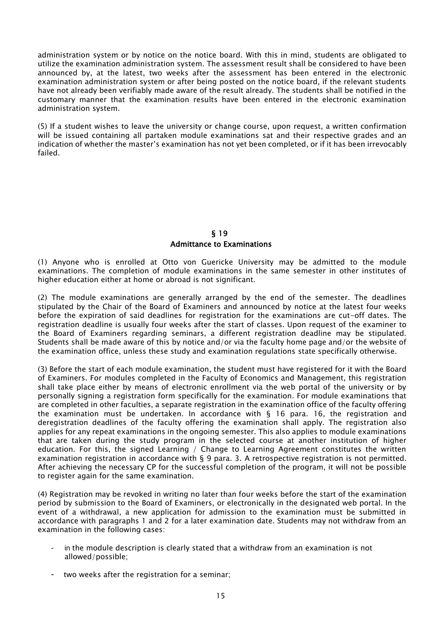administration system or by notice on the notice board. With this in mind, students are obligated to utilize the examination administration system. The assessment result shall be considered to have been announced by, at the latest, two weeks after the assessment has been entered in the electronic examination administration system or after being posted on the notice board, if the relevant students have not already been verifiably made aware of the result already. The students shall be notified in the customary manner that the examination results have been entered in the electronic examination administration system.

(5) If a student wishes to leave the university or change course, upon request, a written confirmation will be issued containing all partaken module examinations sat and their respective grades and an indication of whether the master's examination has not yet been completed, or if it has been irrevocably failed.

## § 19 Admittance to Examinations

(1) Anyone who is enrolled at Otto von Guericke University may be admitted to the module examinations. The completion of module examinations in the same semester in other institutes of higher education either at home or abroad is not significant.

(2) The module examinations are generally arranged by the end of the semester. The deadlines stipulated by the Chair of the Board of Examiners and announced by notice at the latest four weeks before the expiration of said deadlines for registration for the examinations are cut-off dates. The registration deadline is usually four weeks after the start of classes. Upon request of the examiner to the Board of Examiners regarding seminars, a different registration deadline may be stipulated. Students shall be made aware of this by notice and/or via the faculty home page and/or the website of the examination office, unless these study and examination regulations state specifically otherwise.

(3) Before the start of each module examination, the student must have registered for it with the Board of Examiners. For modules completed in the Faculty of Economics and Management, this registration shall take place either by means of electronic enrollment via the web portal of the university or by personally signing a registration form specifically for the examination. For module examinations that are completed in other faculties, a separate registration in the examination office of the faculty offering the examination must be undertaken. In accordance with  $\S$  16 para. 16, the registration and deregistration deadlines of the faculty offering the examination shall apply. The registration also applies for any repeat examinations in the ongoing semester. This also applies to module examinations that are taken during the study program in the selected course at another institution of higher education. For this, the signed Learning / Change to Learning Agreement constitutes the written examination registration in accordance with § 9 para. 3. A retrospective registration is not permitted. After achieving the necessary CP for the successful completion of the program, it will not be possible to register again for the same examination.

(4) Registration may be revoked in writing no later than four weeks before the start of the examination period by submission to the Board of Examiners, or electronically in the designated web portal. In the event of a withdrawal, a new application for admission to the examination must be submitted in accordance with paragraphs 1 and 2 for a later examination date. Students may not withdraw from an examination in the following cases:

- in the module description is clearly stated that a withdraw from an examination is not allowed/possible;
- two weeks after the registration for a seminar;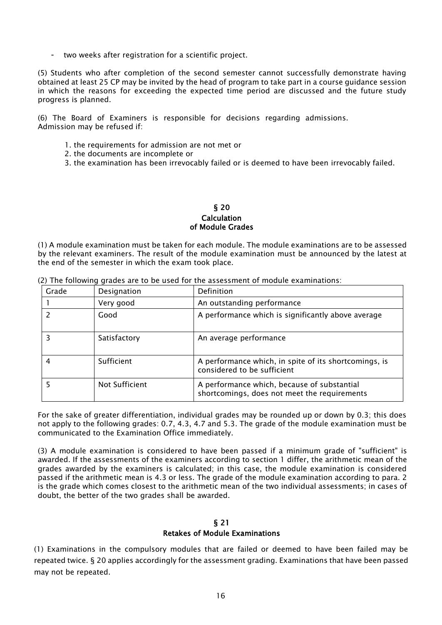- two weeks after registration for a scientific project.

(5) Students who after completion of the second semester cannot successfully demonstrate having obtained at least 25 CP may be invited by the head of program to take part in a course guidance session in which the reasons for exceeding the expected time period are discussed and the future study progress is planned.

(6) The Board of Examiners is responsible for decisions regarding admissions. Admission may be refused if:

- 1. the requirements for admission are not met or
- 2. the documents are incomplete or
- 3. the examination has been irrevocably failed or is deemed to have been irrevocably failed.

#### § 20 Calculation of Module Grades

(1) A module examination must be taken for each module. The module examinations are to be assessed by the relevant examiners. The result of the module examination must be announced by the latest at the end of the semester in which the exam took place.

| Grade | Designation    | Definition                                                                                  |
|-------|----------------|---------------------------------------------------------------------------------------------|
|       | Very good      | An outstanding performance                                                                  |
|       | Good           | A performance which is significantly above average                                          |
| 3     | Satisfactory   | An average performance                                                                      |
| 4     | Sufficient     | A performance which, in spite of its shortcomings, is<br>considered to be sufficient        |
|       | Not Sufficient | A performance which, because of substantial<br>shortcomings, does not meet the requirements |

(2) The following grades are to be used for the assessment of module examinations:

For the sake of greater differentiation, individual grades may be rounded up or down by 0.3; this does not apply to the following grades: 0.7, 4.3, 4.7 and 5.3. The grade of the module examination must be communicated to the Examination Office immediately.

(3) A module examination is considered to have been passed if a minimum grade of "sufficient" is awarded. If the assessments of the examiners according to section 1 differ, the arithmetic mean of the grades awarded by the examiners is calculated; in this case, the module examination is considered passed if the arithmetic mean is 4.3 or less. The grade of the module examination according to para. 2 is the grade which comes closest to the arithmetic mean of the two individual assessments; in cases of doubt, the better of the two grades shall be awarded.

## § 21 Retakes of Module Examinations

(1) Examinations in the compulsory modules that are failed or deemed to have been failed may be repeated twice. § 20 applies accordingly for the assessment grading. Examinations that have been passed may not be repeated.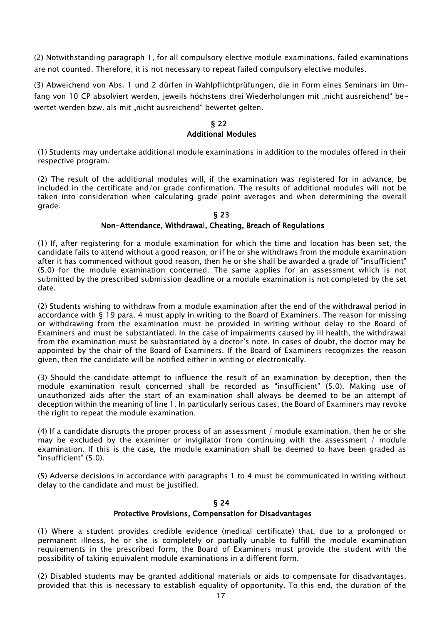(2) Notwithstanding paragraph 1, for all compulsory elective module examinations, failed examinations are not counted. Therefore, it is not necessary to repeat failed compulsory elective modules.

(3) Abweichend von Abs. 1 und 2 dürfen in Wahlpflichtprüfungen, die in Form eines Seminars im Umfang von 10 CP absolviert werden, jeweils höchstens drei Wiederholungen mit "nicht ausreichend" bewertet werden bzw. als mit "nicht ausreichend" bewertet gelten.

## § 22 Additional Modules

(1) Students may undertake additional module examinations in addition to the modules offered in their respective program.

(2) The result of the additional modules will, if the examination was registered for in advance, be included in the certificate and/or grade confirmation. The results of additional modules will not be taken into consideration when calculating grade point averages and when determining the overall grade.

## § 23

#### Non-Attendance, Withdrawal, Cheating, Breach of Regulations

(1) If, after registering for a module examination for which the time and location has been set, the candidate fails to attend without a good reason, or if he or she withdraws from the module examination after it has commenced without good reason, then he or she shall be awarded a grade of "insufficient" (5.0) for the module examination concerned. The same applies for an assessment which is not submitted by the prescribed submission deadline or a module examination is not completed by the set date.

(2) Students wishing to withdraw from a module examination after the end of the withdrawal period in accordance with § 19 para. 4 must apply in writing to the Board of Examiners. The reason for missing or withdrawing from the examination must be provided in writing without delay to the Board of Examiners and must be substantiated. In the case of impairments caused by ill health, the withdrawal from the examination must be substantiated by a doctor's note. In cases of doubt, the doctor may be appointed by the chair of the Board of Examiners. If the Board of Examiners recognizes the reason given, then the candidate will be notified either in writing or electronically.

(3) Should the candidate attempt to influence the result of an examination by deception, then the module examination result concerned shall be recorded as "insufficient" (5.0). Making use of unauthorized aids after the start of an examination shall always be deemed to be an attempt of deception within the meaning of line 1. In particularly serious cases, the Board of Examiners may revoke the right to repeat the module examination.

(4) If a candidate disrupts the proper process of an assessment / module examination, then he or she may be excluded by the examiner or invigilator from continuing with the assessment / module examination. If this is the case, the module examination shall be deemed to have been graded as "insufficient" (5.0).

(5) Adverse decisions in accordance with paragraphs 1 to 4 must be communicated in writing without delay to the candidate and must be justified.

## § 24

#### Protective Provisions, Compensation for Disadvantages

(1) Where a student provides credible evidence (medical certificate) that, due to a prolonged or permanent illness, he or she is completely or partially unable to fulfill the module examination requirements in the prescribed form, the Board of Examiners must provide the student with the possibility of taking equivalent module examinations in a different form.

(2) Disabled students may be granted additional materials or aids to compensate for disadvantages, provided that this is necessary to establish equality of opportunity. To this end, the duration of the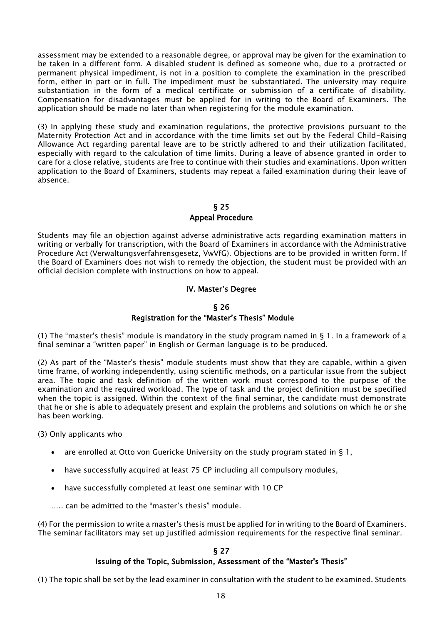assessment may be extended to a reasonable degree, or approval may be given for the examination to be taken in a different form. A disabled student is defined as someone who, due to a protracted or permanent physical impediment, is not in a position to complete the examination in the prescribed form, either in part or in full. The impediment must be substantiated. The university may require substantiation in the form of a medical certificate or submission of a certificate of disability. Compensation for disadvantages must be applied for in writing to the Board of Examiners. The application should be made no later than when registering for the module examination.

(3) In applying these study and examination regulations, the protective provisions pursuant to the Maternity Protection Act and in accordance with the time limits set out by the Federal Child-Raising Allowance Act regarding parental leave are to be strictly adhered to and their utilization facilitated, especially with regard to the calculation of time limits. During a leave of absence granted in order to care for a close relative, students are free to continue with their studies and examinations. Upon written application to the Board of Examiners, students may repeat a failed examination during their leave of absence.

## § 25 Appeal Procedure

Students may file an objection against adverse administrative acts regarding examination matters in writing or verbally for transcription, with the Board of Examiners in accordance with the Administrative Procedure Act (Verwaltungsverfahrensgesetz, VwVfG). Objections are to be provided in written form. If the Board of Examiners does not wish to remedy the objection, the student must be provided with an official decision complete with instructions on how to appeal.

## IV. Master's Degree

#### § 26

## Registration for the "Master's Thesis" Module

(1) The "master's thesis" module is mandatory in the study program named in  $\S$  1. In a framework of a final seminar a "written paper" in English or German language is to be produced.

(2) As part of the "Master's thesis" module students must show that they are capable, within a given time frame, of working independently, using scientific methods, on a particular issue from the subject area. The topic and task definition of the written work must correspond to the purpose of the examination and the required workload. The type of task and the project definition must be specified when the topic is assigned. Within the context of the final seminar, the candidate must demonstrate that he or she is able to adequately present and explain the problems and solutions on which he or she has been working.

(3) Only applicants who

- are enrolled at Otto von Guericke University on the study program stated in § 1,
- have successfully acquired at least 75 CP including all compulsory modules,
- have successfully completed at least one seminar with 10 CP

….. can be admitted to the "master's thesis" module.

(4) For the permission to write a master's thesis must be applied for in writing to the Board of Examiners. The seminar facilitators may set up justified admission requirements for the respective final seminar.

## § 27 Issuing of the Topic, Submission, Assessment of the "Master's Thesis"

(1) The topic shall be set by the lead examiner in consultation with the student to be examined. Students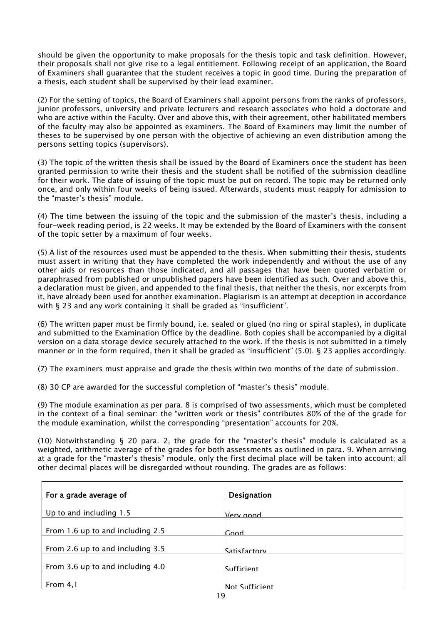should be given the opportunity to make proposals for the thesis topic and task definition. However, their proposals shall not give rise to a legal entitlement. Following receipt of an application, the Board of Examiners shall guarantee that the student receives a topic in good time. During the preparation of a thesis, each student shall be supervised by their lead examiner.

(2) For the setting of topics, the Board of Examiners shall appoint persons from the ranks of professors, junior professors, university and private lecturers and research associates who hold a doctorate and who are active within the Faculty. Over and above this, with their agreement, other habilitated members of the faculty may also be appointed as examiners. The Board of Examiners may limit the number of theses to be supervised by one person with the objective of achieving an even distribution among the persons setting topics (supervisors).

(3) The topic of the written thesis shall be issued by the Board of Examiners once the student has been granted permission to write their thesis and the student shall be notified of the submission deadline for their work. The date of issuing of the topic must be put on record. The topic may be returned only once, and only within four weeks of being issued. Afterwards, students must reapply for admission to the "master's thesis" module.

(4) The time between the issuing of the topic and the submission of the master's thesis, including a four-week reading period, is 22 weeks. It may be extended by the Board of Examiners with the consent of the topic setter by a maximum of four weeks.

(5) A list of the resources used must be appended to the thesis. When submitting their thesis, students must assert in writing that they have completed the work independently and without the use of any other aids or resources than those indicated, and all passages that have been quoted verbatim or paraphrased from published or unpublished papers have been identified as such. Over and above this, a declaration must be given, and appended to the final thesis, that neither the thesis, nor excerpts from it, have already been used for another examination. Plagiarism is an attempt at deception in accordance with § 23 and any work containing it shall be graded as "insufficient".

(6) The written paper must be firmly bound, i.e. sealed or glued (no ring or spiral staples), in duplicate and submitted to the Examination Office by the deadline. Both copies shall be accompanied by a digital version on a data storage device securely attached to the work. If the thesis is not submitted in a timely manner or in the form required, then it shall be graded as "insufficient" (5.0). § 23 applies accordingly.

(7) The examiners must appraise and grade the thesis within two months of the date of submission.

(8) 30 CP are awarded for the successful completion of "master's thesis" module.

(9) The module examination as per para. 8 is comprised of two assessments, which must be completed in the context of a final seminar: the "written work or thesis" contributes 80% of the of the grade for the module examination, whilst the corresponding "presentation" accounts for 20%.

(10) Notwithstanding § 20 para. 2, the grade for the "master's thesis" module is calculated as a weighted, arithmetic average of the grades for both assessments as outlined in para. 9. When arriving at a grade for the "master's thesis" module, only the first decimal place will be taken into account; all other decimal places will be disregarded without rounding. The grades are as follows:

| For a grade average of           | <b>Designation</b> |
|----------------------------------|--------------------|
| Up to and including 1.5          | Verv annd          |
| From 1.6 up to and including 2.5 | Cood.              |
| From 2.6 up to and including 3.5 | Satisfactory       |
| From 3.6 up to and including 4.0 | <b>Sufficient</b>  |
| From 4,1                         | Not Sufficient     |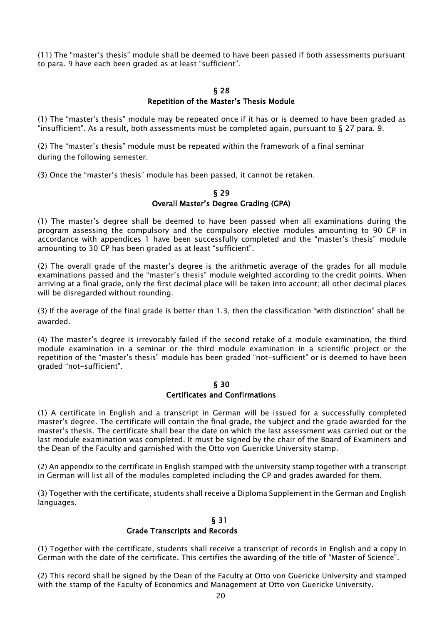(11) The "master's thesis" module shall be deemed to have been passed if both assessments pursuant to para. 9 have each been graded as at least "sufficient".

## § 28

## Repetition of the Master's Thesis Module

(1) The "master's thesis" module may be repeated once if it has or is deemed to have been graded as "insufficient". As a result, both assessments must be completed again, pursuant to § 27 para. 9.

(2) The "master's thesis" module must be repeated within the framework of a final seminar during the following semester.

(3) Once the "master's thesis" module has been passed, it cannot be retaken.

## § 29 Overall Master's Degree Grading (GPA)

(1) The master's degree shall be deemed to have been passed when all examinations during the program assessing the compulsory and the compulsory elective modules amounting to 90 CP in accordance with appendices 1 have been successfully completed and the "master's thesis" module amounting to 30 CP has been graded as at least "sufficient".

(2) The overall grade of the master's degree is the arithmetic average of the grades for all module examinations passed and the "master's thesis" module weighted according to the credit points. When arriving at a final grade, only the first decimal place will be taken into account; all other decimal places will be disregarded without rounding.

(3) If the average of the final grade is better than 1.3, then the classification "with distinction" shall be awarded.

(4) The master's degree is irrevocably failed if the second retake of a module examination, the third module examination in a seminar or the third module examination in a scientific project or the repetition of the "master's thesis" module has been graded "not-sufficient" or is deemed to have been graded "not-sufficient".

#### § 30 Certificates and Confirmations

(1) A certificate in English and a transcript in German will be issued for a successfully completed master's degree. The certificate will contain the final grade, the subject and the grade awarded for the master's thesis. The certificate shall bear the date on which the last assessment was carried out or the last module examination was completed. It must be signed by the chair of the Board of Examiners and the Dean of the Faculty and garnished with the Otto von Guericke University stamp.

(2) An appendix to the certificate in English stamped with the university stamp together with a transcript in German will list all of the modules completed including the CP and grades awarded for them.

(3) Together with the certificate, students shall receive a Diploma Supplement in the German and English languages.

## § 31 Grade Transcripts and Records

(1) Together with the certificate, students shall receive a transcript of records in English and a copy in German with the date of the certificate. This certifies the awarding of the title of "Master of Science".

(2) This record shall be signed by the Dean of the Faculty at Otto von Guericke University and stamped with the stamp of the Faculty of Economics and Management at Otto von Guericke University.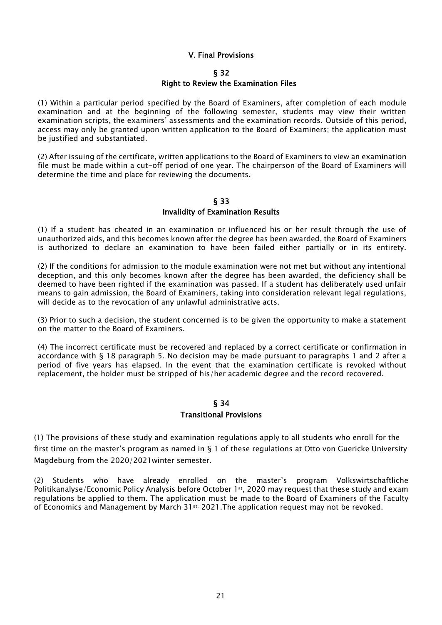## V. Final Provisions

#### § 32

#### Right to Review the Examination Files

(1) Within a particular period specified by the Board of Examiners, after completion of each module examination and at the beginning of the following semester, students may view their written examination scripts, the examiners' assessments and the examination records. Outside of this period, access may only be granted upon written application to the Board of Examiners; the application must be justified and substantiated.

(2) After issuing of the certificate, written applications to the Board of Examiners to view an examination file must be made within a cut-off period of one year. The chairperson of the Board of Examiners will determine the time and place for reviewing the documents.

## § 33 Invalidity of Examination Results

(1) If a student has cheated in an examination or influenced his or her result through the use of unauthorized aids, and this becomes known after the degree has been awarded, the Board of Examiners is authorized to declare an examination to have been failed either partially or in its entirety.

(2) If the conditions for admission to the module examination were not met but without any intentional deception, and this only becomes known after the degree has been awarded, the deficiency shall be deemed to have been righted if the examination was passed. If a student has deliberately used unfair means to gain admission, the Board of Examiners, taking into consideration relevant legal regulations, will decide as to the revocation of any unlawful administrative acts.

(3) Prior to such a decision, the student concerned is to be given the opportunity to make a statement on the matter to the Board of Examiners.

(4) The incorrect certificate must be recovered and replaced by a correct certificate or confirmation in accordance with § 18 paragraph 5. No decision may be made pursuant to paragraphs 1 and 2 after a period of five years has elapsed. In the event that the examination certificate is revoked without replacement, the holder must be stripped of his/her academic degree and the record recovered.

## § 34 Transitional Provisions

(1) The provisions of these study and examination regulations apply to all students who enroll for the first time on the master's program as named in § 1 of these regulations at Otto von Guericke University Magdeburg from the 2020/2021winter semester.

(2) Students who have already enrolled on the master's program Volkswirtschaftliche Politikanalyse/Economic Policy Analysis before October 1st , 2020 may request that these study and exam regulations be applied to them. The application must be made to the Board of Examiners of the Faculty of Economics and Management by March 31st, 2021. The application request may not be revoked.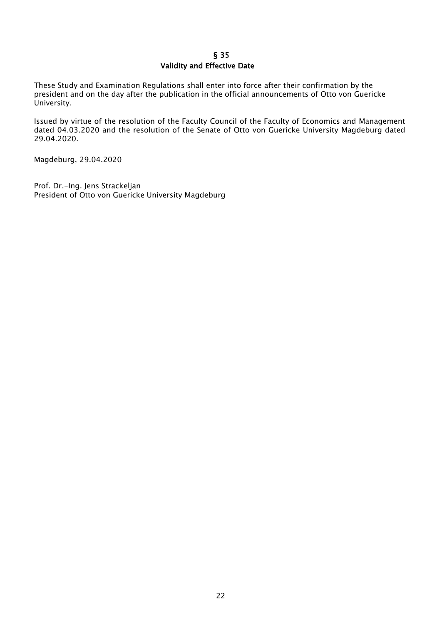## § 35 Validity and Effective Date

These Study and Examination Regulations shall enter into force after their confirmation by the president and on the day after the publication in the official announcements of Otto von Guericke University.

Issued by virtue of the resolution of the Faculty Council of the Faculty of Economics and Management dated 04.03.2020 and the resolution of the Senate of Otto von Guericke University Magdeburg dated 29.04.2020.

Magdeburg, 29.04.2020

Prof. Dr.-Ing. Jens Strackeljan President of Otto von Guericke University Magdeburg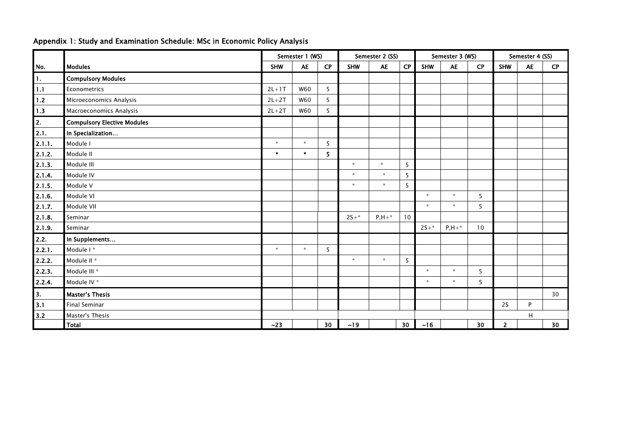|        |                                    | Semester 1 (WS) |            |                 |            | Semester 2 (SS) |    | Semester 3 (WS) |            |           | Semester 4 (SS) |           |    |
|--------|------------------------------------|-----------------|------------|-----------------|------------|-----------------|----|-----------------|------------|-----------|-----------------|-----------|----|
| No.    | <b>Modules</b>                     | <b>SHW</b>      | <b>AE</b>  | CP              | <b>SHW</b> | <b>AE</b>       | CP | <b>SHW</b>      | <b>AE</b>  | <b>CP</b> | <b>SHW</b>      | <b>AE</b> | CP |
| 1.     | <b>Compulsory Modules</b>          |                 |            |                 |            |                 |    |                 |            |           |                 |           |    |
| 1.1    | $2L+1T$<br>Econometrics            |                 | <b>W60</b> | 5               |            |                 |    |                 |            |           |                 |           |    |
| $1.2$  | Microeconomics Analysis            | $2L+2T$         | W60        | 5               |            |                 |    |                 |            |           |                 |           |    |
| 1.3    | Macroeconomics Analysis            |                 | W60        | 5               |            |                 |    |                 |            |           |                 |           |    |
| 2.     | <b>Compulsory Elective Modules</b> |                 |            |                 |            |                 |    |                 |            |           |                 |           |    |
| 2.1.   | In Specialization                  |                 |            |                 |            |                 |    |                 |            |           |                 |           |    |
| 2.1.1. | Module I                           | $\mathbf{x}$    | $\star$    | 5               |            |                 |    |                 |            |           |                 |           |    |
| 2.1.2. | Module II                          |                 | $\pm$      | 5               |            |                 |    |                 |            |           |                 |           |    |
| 2.1.3. | Module III                         |                 |            |                 | $\star$    | $\star$         | 5  |                 |            |           |                 |           |    |
| 2.1.4. | Module IV                          |                 |            |                 | $\star$    | $\star$         | 5  |                 |            |           |                 |           |    |
| 2.1.5. | Module V                           |                 |            |                 | $\star$    | $\star$         | 5  |                 |            |           |                 |           |    |
| 2.1.6. | Module VI                          |                 |            |                 |            |                 |    | $\mathbf{x}$    | $\star$    | 5         |                 |           |    |
| 2.1.7. | Module VII                         |                 |            |                 |            |                 |    | $\star$         | $\star$    | 5         |                 |           |    |
| 2.1.8. | Seminar                            |                 |            |                 | $2S+*$     | $P, H + *$      | 10 |                 |            |           |                 |           |    |
| 2.1.9. | Seminar                            |                 |            |                 |            |                 |    | $2S+*$          | $P, H + *$ | 10        |                 |           |    |
| 2.2.   | In Supplements                     |                 |            |                 |            |                 |    |                 |            |           |                 |           |    |
| 2.2.1. | Module I*                          | $\star$         | $\star$    | 5               |            |                 |    |                 |            |           |                 |           |    |
| 2.2.2. | Module II <sup>*</sup>             |                 |            |                 | $\star$    | $\star$         | 5  |                 |            |           |                 |           |    |
| 2.2.3. | Module III *                       |                 |            |                 |            |                 |    | $\star$         | $\star$    | 5         |                 |           |    |
| 2.2.4. | Module IV *                        |                 |            |                 |            |                 |    | $\star$         | $\star$    | 5         |                 |           |    |
| 3.     | <b>Master's Thesis</b>             |                 |            |                 |            |                 |    |                 |            |           |                 |           | 30 |
| 3.1    | <b>Final Seminar</b>               |                 |            |                 |            |                 |    |                 |            |           | <b>2S</b>       | P         |    |
| 3.2    | Master's Thesis                    |                 |            |                 |            |                 |    |                 |            |           | H               |           |    |
|        | <b>Total</b>                       | ~23             |            | 30 <sub>o</sub> | ~19        |                 | 30 | ~16             |            | 30        | $\overline{2}$  |           | 30 |

# Appendix 1: Study and Examination Schedule: MSc in Economic Policy Analysis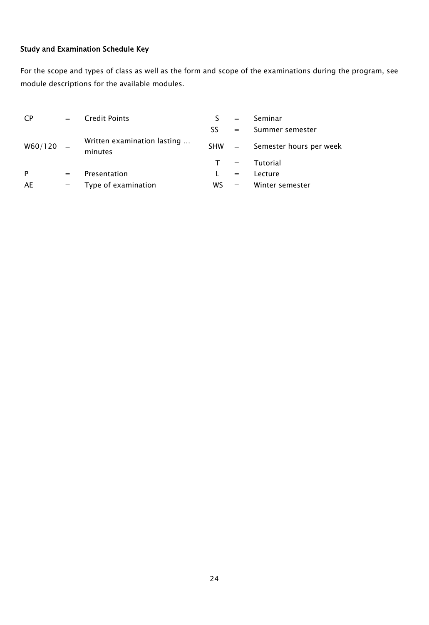# Study and Examination Schedule Key

For the scope and types of class as well as the form and scope of the examinations during the program, see module descriptions for the available modules.

| CP      | $=$ | <b>Credit Points</b>                   |         | $=$                     | Seminar                 |
|---------|-----|----------------------------------------|---------|-------------------------|-------------------------|
|         |     |                                        | SS.     | $=$ $-$                 | Summer semester         |
| W60/120 |     | Written examination lasting<br>minutes | $SHW =$ |                         | Semester hours per week |
|         |     |                                        | T       | $\alpha_{\rm c} = 0.01$ | Tutorial                |
| P       | $=$ | Presentation                           |         | $=$                     | Lecture                 |
| AE      | $=$ | Type of examination                    | WS.     | $=$ $-$                 | Winter semester         |